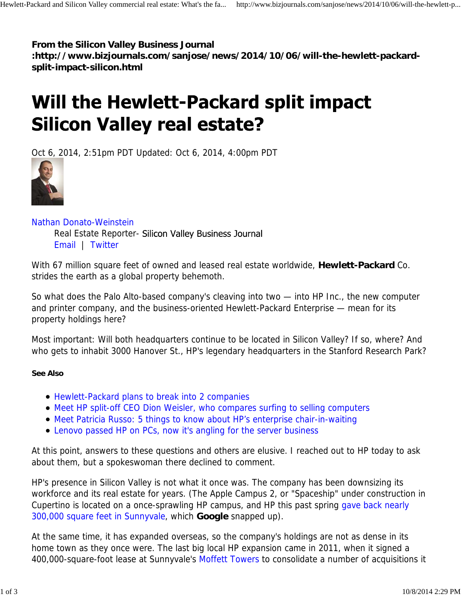**From the Silicon Valley Business Journal**

**:http://www.bizjournals.com/sanjose/news/2014/10/06/will-the-hewlett-packardsplit-impact-silicon.html**

## Will the Hewlett-Packard split impact **Silicon Valley real estate?**

Oct 6, 2014, 2:51pm PDT Updated: Oct 6, 2014, 4:00pm PDT



Nathan Donato-Weinstein

Real Estate Reporter- Silicon Valley Business Journal Email | Twitter

With 67 million square feet of owned and leased real estate worldwide, **Hewlett-Packard** Co. strides the earth as a global property behemoth.

So what does the Palo Alto-based company's cleaving into two — into HP Inc., the new computer and printer company, and the business-oriented Hewlett-Packard Enterprise — mean for its property holdings here?

Most important: Will both headquarters continue to be located in Silicon Valley? If so, where? And who gets to inhabit 3000 Hanover St., HP's legendary headquarters in the Stanford Research Park?

## **See Also**

- Hewlett-Packard plans to break into 2 companies
- Meet HP split-off CEO Dion Weisler, who compares surfing to selling computers
- Meet Patricia Russo: 5 things to know about HP's enterprise chair-in-waiting
- Lenovo passed HP on PCs, now it's angling for the server business

At this point, answers to these questions and others are elusive. I reached out to HP today to ask about them, but a spokeswoman there declined to comment.

HP's presence in Silicon Valley is not what it once was. The company has been downsizing its workforce and its real estate for years. (The Apple Campus 2, or "Spaceship" under construction in Cupertino is located on a once-sprawling HP campus, and HP this past spring gave back nearly 300,000 square feet in Sunnyvale, which **Google** snapped up).

At the same time, it has expanded overseas, so the company's holdings are not as dense in its home town as they once were. The last big local HP expansion came in 2011, when it signed a 400,000-square-foot lease at Sunnyvale's Moffett Towers to consolidate a number of acquisitions it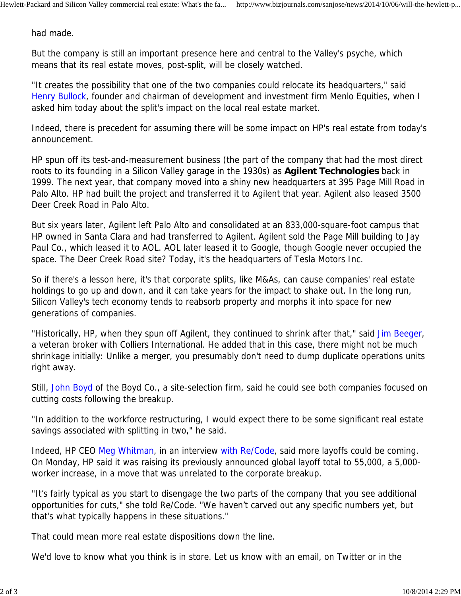had made.

But the company is still an important presence here and central to the Valley's psyche, which means that its real estate moves, post-split, will be closely watched.

"It creates the possibility that one of the two companies could relocate its headquarters," said Henry Bullock, founder and chairman of development and investment firm Menlo Equities, when I asked him today about the split's impact on the local real estate market.

Indeed, there is precedent for assuming there will be some impact on HP's real estate from today's announcement.

HP spun off its test-and-measurement business (the part of the company that had the most direct roots to its founding in a Silicon Valley garage in the 1930s) as **Agilent Technologies** back in 1999. The next year, that company moved into a shiny new headquarters at 395 Page Mill Road in Palo Alto. HP had built the project and transferred it to Agilent that year. Agilent also leased 3500 Deer Creek Road in Palo Alto.

But six years later, Agilent left Palo Alto and consolidated at an 833,000-square-foot campus that HP owned in Santa Clara and had transferred to Agilent. Agilent sold the Page Mill building to Jay Paul Co., which leased it to AOL. AOL later leased it to Google, though Google never occupied the space. The Deer Creek Road site? Today, it's the headquarters of Tesla Motors Inc.

So if there's a lesson here, it's that corporate splits, like M&As, can cause companies' real estate holdings to go up and down, and it can take years for the impact to shake out. In the long run, Silicon Valley's tech economy tends to reabsorb property and morphs it into space for new generations of companies.

"Historically, HP, when they spun off Agilent, they continued to shrink after that," said Jim Beeger, a veteran broker with Colliers International. He added that in this case, there might not be much shrinkage initially: Unlike a merger, you presumably don't need to dump duplicate operations units right away.

Still, John Boyd of the Boyd Co., a site-selection firm, said he could see both companies focused on cutting costs following the breakup.

"In addition to the workforce restructuring, I would expect there to be some significant real estate savings associated with splitting in two," he said.

Indeed, HP CEO Meg Whitman, in an interview with Re/Code, said more layoffs could be coming. On Monday, HP said it was raising its previously announced global layoff total to 55,000, a 5,000 worker increase, in a move that was unrelated to the corporate breakup.

"It's fairly typical as you start to disengage the two parts of the company that you see additional opportunities for cuts," she told Re/Code. "We haven't carved out any specific numbers yet, but that's what typically happens in these situations."

That could mean more real estate dispositions down the line.

We'd love to know what you think is in store. Let us know with an email, on Twitter or in the